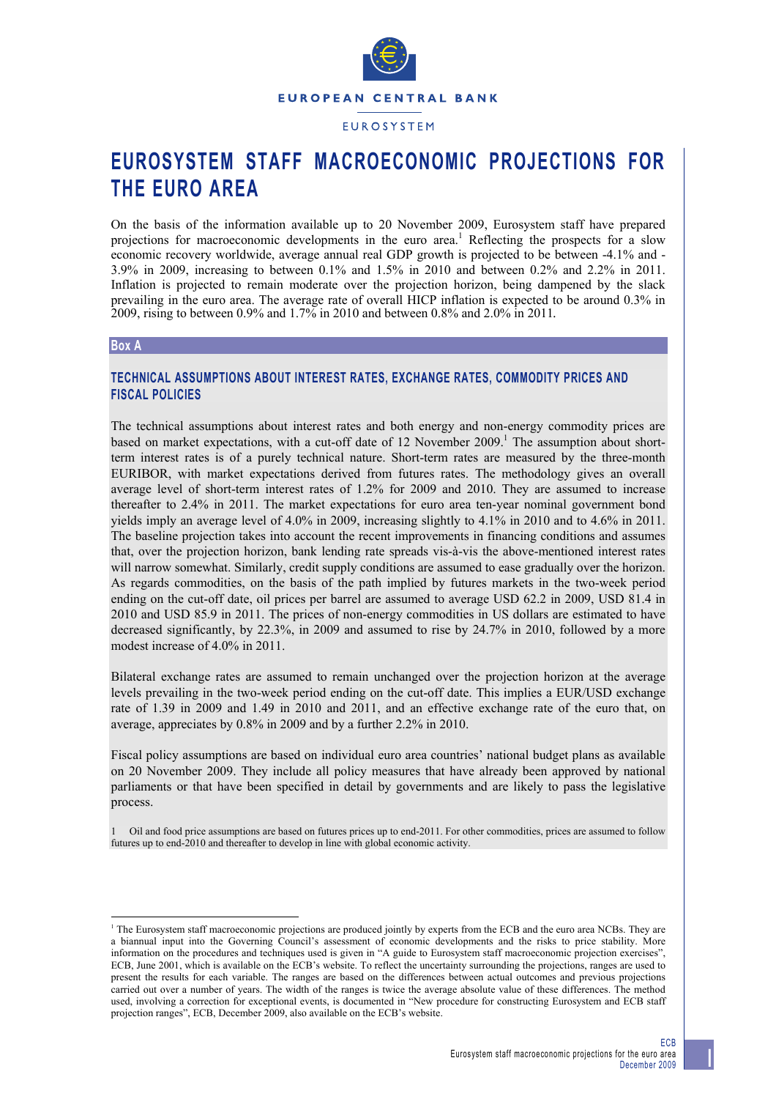

**EUROSYSTEM** 

# **EUROSYSTEM STAFF MACROECONOMIC PROJECTIONS FOR THE EURO AREA**

On the basis of the information available up to 20 November 2009, Eurosystem staff have prepared projections for macroeconomic developments in the euro area.<sup>1</sup> Reflecting the prospects for a slow economic recovery worldwide, average annual real GDP growth is projected to be between -4.1% and - 3.9% in 2009, increasing to between 0.1% and 1.5% in 2010 and between 0.2% and 2.2% in 2011. Inflation is projected to remain moderate over the projection horizon, being dampened by the slack prevailing in the euro area. The average rate of overall HICP inflation is expected to be around 0.3% in 2009, rising to between 0.9% and 1.7% in 2010 and between 0.8% and 2.0% in 2011*.*

## **Box A**

l

# **TECHNICAL ASSUMPTIONS ABOUT INTEREST RATES, EXCHANGE RATES, COMMODITY PRICES AND FISCAL POLICIES**

The technical assumptions about interest rates and both energy and non-energy commodity prices are based on market expectations, with a cut-off date of 12 November 2009.<sup>1</sup> The assumption about shortterm interest rates is of a purely technical nature. Short-term rates are measured by the three-month EURIBOR, with market expectations derived from futures rates. The methodology gives an overall average level of short-term interest rates of 1.2% for 2009 and 2010. They are assumed to increase thereafter to 2.4% in 2011. The market expectations for euro area ten-year nominal government bond yields imply an average level of 4.0% in 2009, increasing slightly to 4.1% in 2010 and to 4.6% in 2011. The baseline projection takes into account the recent improvements in financing conditions and assumes that, over the projection horizon, bank lending rate spreads vis-à-vis the above-mentioned interest rates will narrow somewhat. Similarly, credit supply conditions are assumed to ease gradually over the horizon. As regards commodities, on the basis of the path implied by futures markets in the two-week period ending on the cut-off date, oil prices per barrel are assumed to average USD 62.2 in 2009, USD 81.4 in 2010 and USD 85.9 in 2011. The prices of non-energy commodities in US dollars are estimated to have decreased significantly, by 22.3%, in 2009 and assumed to rise by 24.7% in 2010, followed by a more modest increase of 4.0% in 2011.

Bilateral exchange rates are assumed to remain unchanged over the projection horizon at the average levels prevailing in the two-week period ending on the cut-off date. This implies a EUR/USD exchange rate of 1.39 in 2009 and 1.49 in 2010 and 2011, and an effective exchange rate of the euro that, on average, appreciates by 0.8% in 2009 and by a further 2.2% in 2010.

Fiscal policy assumptions are based on individual euro area countries' national budget plans as available on 20 November 2009. They include all policy measures that have already been approved by national parliaments or that have been specified in detail by governments and are likely to pass the legislative process.

1 Oil and food price assumptions are based on futures prices up to end-2011. For other commodities, prices are assumed to follow futures up to end-2010 and thereafter to develop in line with global economic activity.

<sup>1</sup> The Eurosystem staff macroeconomic projections are produced jointly by experts from the ECB and the euro area NCBs. They are a biannual input into the Governing Council's assessment of economic developments and the risks to price stability. More information on the procedures and techniques used is given in "A guide to Eurosystem staff macroeconomic projection exercises", ECB, June 2001, which is available on the ECB's website. To reflect the uncertainty surrounding the projections, ranges are used to present the results for each variable. The ranges are based on the differences between actual outcomes and previous projections carried out over a number of years. The width of the ranges is twice the average absolute value of these differences. The method used, involving a correction for exceptional events, is documented in "New procedure for constructing Eurosystem and ECB staff projection ranges", ECB, December 2009, also available on the ECB's website.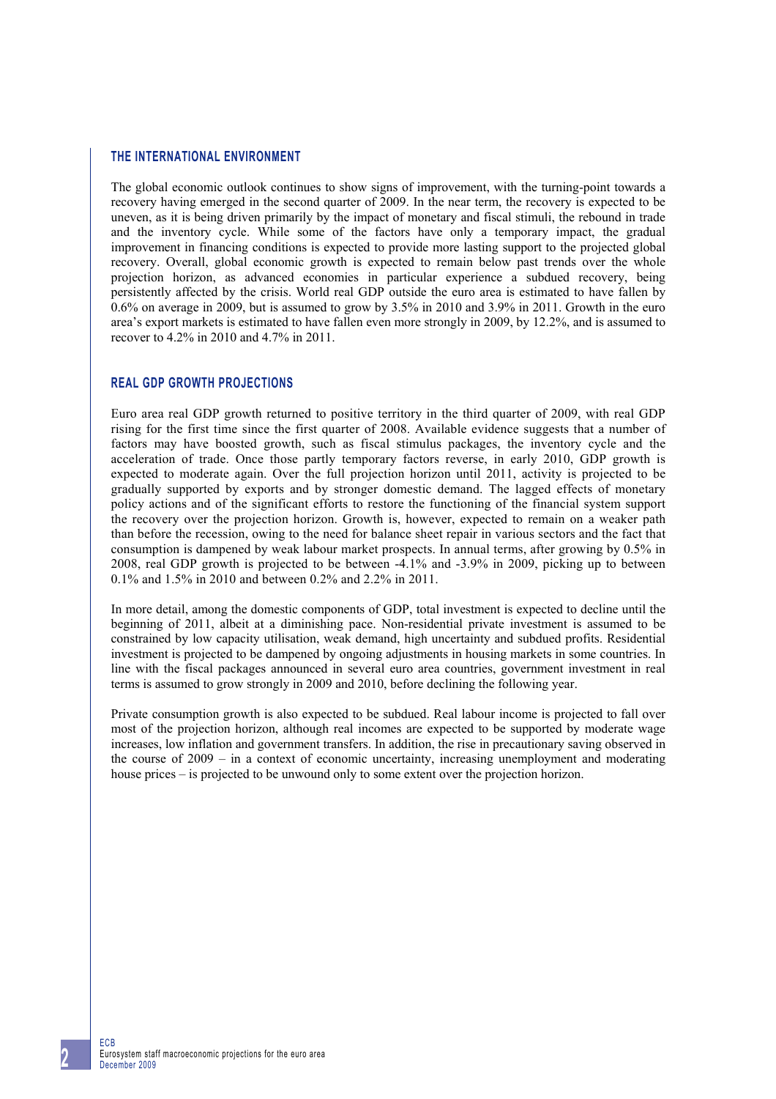## **THE INTERNATIONAL ENVIRONMENT**

The global economic outlook continues to show signs of improvement, with the turning-point towards a recovery having emerged in the second quarter of 2009. In the near term, the recovery is expected to be uneven, as it is being driven primarily by the impact of monetary and fiscal stimuli, the rebound in trade and the inventory cycle. While some of the factors have only a temporary impact, the gradual improvement in financing conditions is expected to provide more lasting support to the projected global recovery. Overall, global economic growth is expected to remain below past trends over the whole projection horizon, as advanced economies in particular experience a subdued recovery, being persistently affected by the crisis. World real GDP outside the euro area is estimated to have fallen by 0.6% on average in 2009, but is assumed to grow by 3.5% in 2010 and 3.9% in 2011. Growth in the euro area's export markets is estimated to have fallen even more strongly in 2009, by 12.2%, and is assumed to recover to 4.2% in 2010 and 4.7% in 2011.

# **REAL GDP GROWTH PROJECTIONS**

Euro area real GDP growth returned to positive territory in the third quarter of 2009, with real GDP rising for the first time since the first quarter of 2008. Available evidence suggests that a number of factors may have boosted growth, such as fiscal stimulus packages, the inventory cycle and the acceleration of trade. Once those partly temporary factors reverse, in early 2010, GDP growth is expected to moderate again. Over the full projection horizon until 2011, activity is projected to be gradually supported by exports and by stronger domestic demand. The lagged effects of monetary policy actions and of the significant efforts to restore the functioning of the financial system support the recovery over the projection horizon. Growth is, however, expected to remain on a weaker path than before the recession, owing to the need for balance sheet repair in various sectors and the fact that consumption is dampened by weak labour market prospects. In annual terms, after growing by 0.5% in 2008, real GDP growth is projected to be between -4.1% and -3.9% in 2009, picking up to between 0.1% and 1.5% in 2010 and between 0.2% and 2.2% in 2011.

In more detail, among the domestic components of GDP, total investment is expected to decline until the beginning of 2011, albeit at a diminishing pace. Non-residential private investment is assumed to be constrained by low capacity utilisation, weak demand, high uncertainty and subdued profits. Residential investment is projected to be dampened by ongoing adjustments in housing markets in some countries. In line with the fiscal packages announced in several euro area countries, government investment in real terms is assumed to grow strongly in 2009 and 2010, before declining the following year.

Private consumption growth is also expected to be subdued. Real labour income is projected to fall over most of the projection horizon, although real incomes are expected to be supported by moderate wage increases, low inflation and government transfers. In addition, the rise in precautionary saving observed in the course of 2009 – in a context of economic uncertainty, increasing unemployment and moderating house prices – is projected to be unwound only to some extent over the projection horizon.

ECB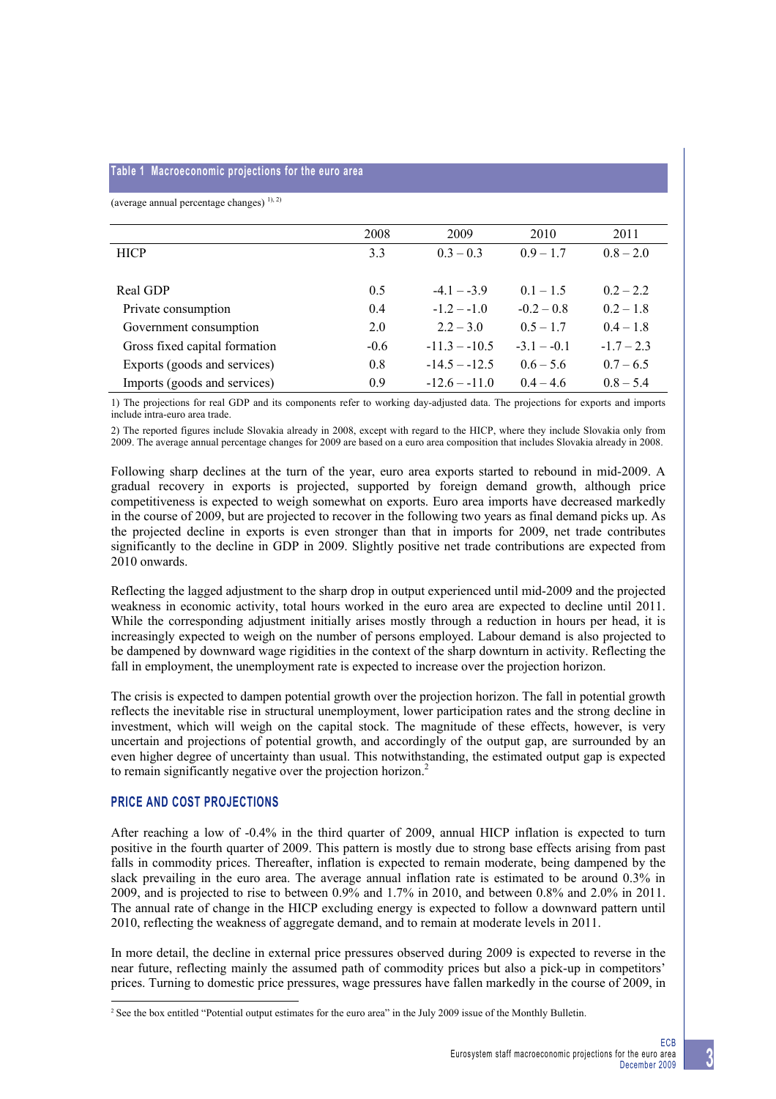#### **Table 1 Macroeconomic projections for the euro area**

(average annual percentage changes)  $^{1), 2)}$ 

|                               | 2008   | 2009            | 2010          | 2011         |
|-------------------------------|--------|-----------------|---------------|--------------|
| <b>HICP</b>                   | 3.3    | $0.3 - 0.3$     | $0.9 - 1.7$   | $0.8 - 2.0$  |
|                               |        |                 |               |              |
| Real GDP                      | 0.5    | $-4.1 - -3.9$   | $0.1 - 1.5$   | $0.2 - 2.2$  |
| Private consumption           | 0.4    | $-1.2 - -1.0$   | $-0.2 - 0.8$  | $0.2 - 1.8$  |
| Government consumption        | 2.0    | $2.2 - 3.0$     | $0.5 - 1.7$   | $0.4 - 1.8$  |
| Gross fixed capital formation | $-0.6$ | $-11.3 - -10.5$ | $-3.1 - -0.1$ | $-1.7 - 2.3$ |
| Exports (goods and services)  | 0.8    | $-14.5 - -12.5$ | $0.6 - 5.6$   | $0.7 - 6.5$  |
| Imports (goods and services)  | 0.9    | $-12.6 - -11.0$ | $04 - 46$     | $0.8 - 5.4$  |

1) The projections for real GDP and its components refer to working day-adjusted data. The projections for exports and imports include intra-euro area trade.

2) The reported figures include Slovakia already in 2008, except with regard to the HICP, where they include Slovakia only from 2009. The average annual percentage changes for 2009 are based on a euro area composition that includes Slovakia already in 2008.

Following sharp declines at the turn of the year, euro area exports started to rebound in mid-2009. A gradual recovery in exports is projected, supported by foreign demand growth, although price competitiveness is expected to weigh somewhat on exports. Euro area imports have decreased markedly in the course of 2009, but are projected to recover in the following two years as final demand picks up. As the projected decline in exports is even stronger than that in imports for 2009, net trade contributes significantly to the decline in GDP in 2009. Slightly positive net trade contributions are expected from 2010 onwards.

Reflecting the lagged adjustment to the sharp drop in output experienced until mid-2009 and the projected weakness in economic activity, total hours worked in the euro area are expected to decline until 2011. While the corresponding adjustment initially arises mostly through a reduction in hours per head, it is increasingly expected to weigh on the number of persons employed. Labour demand is also projected to be dampened by downward wage rigidities in the context of the sharp downturn in activity. Reflecting the fall in employment, the unemployment rate is expected to increase over the projection horizon.

The crisis is expected to dampen potential growth over the projection horizon. The fall in potential growth reflects the inevitable rise in structural unemployment, lower participation rates and the strong decline in investment, which will weigh on the capital stock. The magnitude of these effects, however, is very uncertain and projections of potential growth, and accordingly of the output gap, are surrounded by an even higher degree of uncertainty than usual. This notwithstanding, the estimated output gap is expected to remain significantly negative over the projection horizon.<sup>2</sup>

## **PRICE AND COST PROJECTIONS**

l

After reaching a low of -0.4% in the third quarter of 2009, annual HICP inflation is expected to turn positive in the fourth quarter of 2009. This pattern is mostly due to strong base effects arising from past falls in commodity prices. Thereafter, inflation is expected to remain moderate, being dampened by the slack prevailing in the euro area. The average annual inflation rate is estimated to be around 0.3% in 2009, and is projected to rise to between 0.9% and 1.7% in 2010, and between 0.8% and 2.0% in 2011. The annual rate of change in the HICP excluding energy is expected to follow a downward pattern until 2010, reflecting the weakness of aggregate demand, and to remain at moderate levels in 2011.

In more detail, the decline in external price pressures observed during 2009 is expected to reverse in the near future, reflecting mainly the assumed path of commodity prices but also a pick-up in competitors' prices. Turning to domestic price pressures, wage pressures have fallen markedly in the course of 2009, in

<sup>&</sup>lt;sup>2</sup> See the box entitled "Potential output estimates for the euro area" in the July 2009 issue of the Monthly Bulletin.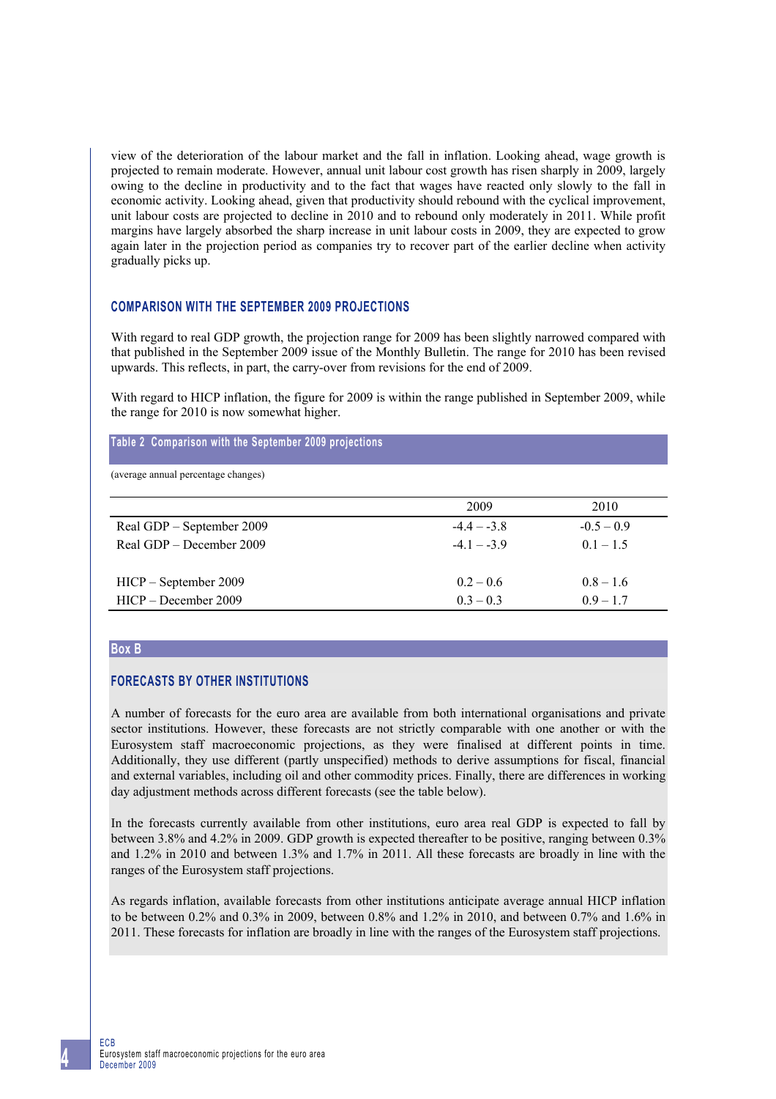view of the deterioration of the labour market and the fall in inflation. Looking ahead, wage growth is projected to remain moderate. However, annual unit labour cost growth has risen sharply in 2009, largely owing to the decline in productivity and to the fact that wages have reacted only slowly to the fall in economic activity. Looking ahead, given that productivity should rebound with the cyclical improvement, unit labour costs are projected to decline in 2010 and to rebound only moderately in 2011. While profit margins have largely absorbed the sharp increase in unit labour costs in 2009, they are expected to grow again later in the projection period as companies try to recover part of the earlier decline when activity gradually picks up.

# **COMPARISON WITH THE SEPTEMBER 2009 PROJECTIONS**

With regard to real GDP growth, the projection range for 2009 has been slightly narrowed compared with that published in the September 2009 issue of the Monthly Bulletin. The range for 2010 has been revised upwards. This reflects, in part, the carry-over from revisions for the end of 2009.

With regard to HICP inflation, the figure for 2009 is within the range published in September 2009, while the range for 2010 is now somewhat higher.

# **Table 2 Comparison with the September 2009 projections**

(average annual percentage changes)

|                           | 2009        | 2010         |
|---------------------------|-------------|--------------|
| Real GDP – September 2009 | $-44 - -38$ | $-0.5 - 0.9$ |
| Real GDP – December 2009  | $-41 - -39$ | $0.1 - 1.5$  |
|                           |             |              |
| HICP – September 2009     | $0.2 - 0.6$ | $0.8 - 1.6$  |
| HICP – December 2009      | $03 - 03$   | $0.9 - 1.7$  |

#### **Box B**

### **FORECASTS BY OTHER INSTITUTIONS**

A number of forecasts for the euro area are available from both international organisations and private sector institutions. However, these forecasts are not strictly comparable with one another or with the Eurosystem staff macroeconomic projections, as they were finalised at different points in time. Additionally, they use different (partly unspecified) methods to derive assumptions for fiscal, financial and external variables, including oil and other commodity prices. Finally, there are differences in working day adjustment methods across different forecasts (see the table below).

In the forecasts currently available from other institutions, euro area real GDP is expected to fall by between 3.8% and 4.2% in 2009. GDP growth is expected thereafter to be positive, ranging between 0.3% and 1.2% in 2010 and between 1.3% and 1.7% in 2011. All these forecasts are broadly in line with the ranges of the Eurosystem staff projections.

As regards inflation, available forecasts from other institutions anticipate average annual HICP inflation to be between 0.2% and 0.3% in 2009, between 0.8% and 1.2% in 2010, and between 0.7% and 1.6% in 2011. These forecasts for inflation are broadly in line with the ranges of the Eurosystem staff projections.